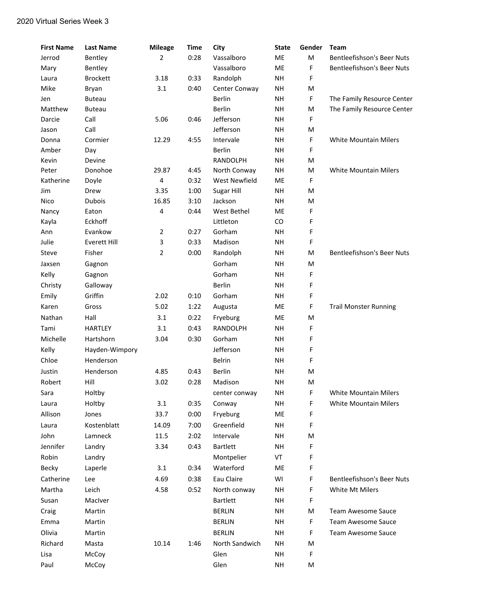| <b>First Name</b> | <b>Last Name</b>               | <b>Mileage</b> | <b>Time</b>  | City                     | <b>State</b>           | Gender | <b>Team</b>                       |
|-------------------|--------------------------------|----------------|--------------|--------------------------|------------------------|--------|-----------------------------------|
| Jerrod            | Bentley                        | 2              | 0:28         | Vassalboro               | ME                     | M      | <b>Bentleefishson's Beer Nuts</b> |
| Mary              | Bentley                        |                |              | Vassalboro               | ME                     | F      | Bentleefishson's Beer Nuts        |
| Laura             | <b>Brockett</b>                | 3.18           | 0:33         | Randolph                 | <b>NH</b>              | F      |                                   |
| Mike              | Bryan                          | 3.1            | 0:40         | Center Conway            | <b>NH</b>              | M      |                                   |
| Jen               | <b>Buteau</b>                  |                |              | <b>Berlin</b>            | <b>NH</b>              | F      | The Family Resource Center        |
| Matthew           | <b>Buteau</b>                  |                |              | Berlin                   | <b>NH</b>              | M      | The Family Resource Center        |
| Darcie            | Call                           | 5.06           | 0:46         | Jefferson                | <b>NH</b>              | F      |                                   |
| Jason             | Call                           |                |              | Jefferson                | <b>NH</b>              | M      |                                   |
| Donna             | Cormier                        | 12.29          | 4:55         | Intervale                | <b>NH</b>              | F      | <b>White Mountain Milers</b>      |
| Amber             | Day                            |                |              | <b>Berlin</b>            | <b>NH</b>              | F      |                                   |
| Kevin             | Devine                         |                |              | <b>RANDOLPH</b>          | <b>NH</b>              | M      |                                   |
| Peter             | Donohoe                        | 29.87          | 4:45         | North Conway             | <b>NH</b>              | M      | <b>White Mountain Milers</b>      |
| Katherine         | Doyle                          | $\sqrt{4}$     | 0:32         | <b>West Newfield</b>     | ME                     | F      |                                   |
| Jim               | Drew                           | 3.35           | 1:00         | Sugar Hill               | <b>NH</b>              | M      |                                   |
| Nico              | <b>Dubois</b>                  | 16.85          | 3:10         | Jackson                  | <b>NH</b>              | M      |                                   |
| Nancy             | Eaton                          | 4              | 0:44         | West Bethel<br>Littleton | ME                     | F      |                                   |
| Kayla             | Eckhoff                        |                |              |                          | CO                     | F      |                                   |
| Ann<br>Julie      | Evankow<br><b>Everett Hill</b> | $\overline{2}$ | 0:27<br>0:33 | Gorham                   | <b>NH</b><br><b>NH</b> | F<br>F |                                   |
|                   | Fisher                         | 3              | 0:00         | Madison                  | <b>NH</b>              | M      | <b>Bentleefishson's Beer Nuts</b> |
| Steve             |                                | 2              |              | Randolph<br>Gorham       | <b>NH</b>              |        |                                   |
| Jaxsen            | Gagnon                         |                |              |                          |                        | M      |                                   |
| Kelly             | Gagnon                         |                |              | Gorham                   | <b>NH</b>              | F      |                                   |
| Christy           | Galloway                       |                |              | <b>Berlin</b>            | <b>NH</b>              | F      |                                   |
| Emily             | Griffin                        | 2.02           | 0:10         | Gorham                   | <b>NH</b>              | F      |                                   |
| Karen             | Gross                          | 5.02           | 1:22         | Augusta                  | ME                     | F      | <b>Trail Monster Running</b>      |
| Nathan            | Hall                           | 3.1            | 0:22         | Fryeburg                 | ME                     | M      |                                   |
| Tami              | <b>HARTLEY</b>                 | 3.1            | 0:43         | RANDOLPH                 | <b>NH</b>              | F      |                                   |
| Michelle          | Hartshorn                      | 3.04           | 0:30         | Gorham                   | <b>NH</b>              | F      |                                   |
| Kelly             | Hayden-Wimpory                 |                |              | Jefferson                | <b>NH</b>              | F      |                                   |
| Chloe             | Henderson                      |                |              | <b>Belrin</b>            | <b>NH</b>              | F      |                                   |
| Justin            | Henderson                      | 4.85           | 0:43         | <b>Berlin</b>            | <b>NH</b>              | M      |                                   |
| Robert            | Hill                           | 3.02           | 0:28         | Madison                  | <b>NH</b>              | M      |                                   |
| Sara              | Holtby                         |                |              | center conway            | NН                     | F.     | White Mountain Milers             |
| Laura             | Holtby                         | 3.1            | 0:35         | Conway                   | <b>NH</b>              | F      | White Mountain Milers             |
| Allison           | Jones                          | 33.7           | 0:00         | Fryeburg                 | ME                     | F      |                                   |
| Laura             | Kostenblatt                    | 14.09          | 7:00         | Greenfield               | <b>NH</b>              | F      |                                   |
| John              | Lamneck                        | 11.5           | 2:02         | Intervale                | <b>NH</b>              | M      |                                   |
| Jennifer          | Landry                         | 3.34           | 0:43         | <b>Bartlett</b>          | <b>NH</b>              | F      |                                   |
| Robin             | Landry                         |                |              | Montpelier               | VT                     | F      |                                   |
| Becky             | Laperle                        | 3.1            | 0:34         | Waterford                | ME                     | F      |                                   |
| Catherine         | Lee                            | 4.69           | 0:38         | Eau Claire               | WI                     | F      | <b>Bentleefishson's Beer Nuts</b> |
| Martha            | Leich                          | 4.58           | 0:52         | North conway             | <b>NH</b>              | F      | <b>White Mt Milers</b>            |
| Susan             | MacIver                        |                |              | Bartlett                 | <b>NH</b>              | F      |                                   |
| Craig             | Martin                         |                |              | <b>BERLIN</b>            | <b>NH</b>              | M      | <b>Team Awesome Sauce</b>         |
| Emma              | Martin                         |                |              | <b>BERLIN</b>            | <b>NH</b>              | F      | Team Awesome Sauce                |
| Olivia            | Martin                         |                |              | <b>BERLIN</b>            | <b>NH</b>              | F      | Team Awesome Sauce                |
| Richard           | Masta                          | 10.14          | 1:46         | North Sandwich           | <b>NH</b>              | M      |                                   |
| Lisa              | McCoy                          |                |              | Glen                     | <b>NH</b>              | F      |                                   |
| Paul              | McCoy                          |                |              | Glen                     | NΗ                     | M      |                                   |
|                   |                                |                |              |                          |                        |        |                                   |